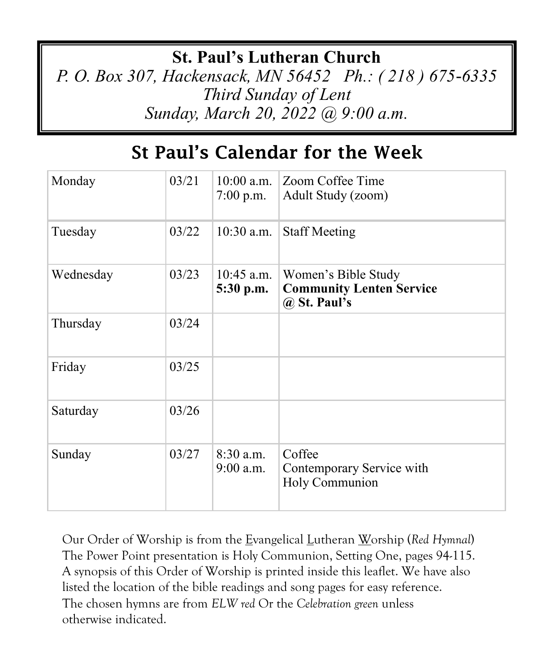## **St. Paul's Lutheran Church**

*P. O. Box 307, Hackensack, MN 56452 Ph.: ( 218 ) 675-6335 Third Sunday of Lent Sunday, March 20, 2022 @ 9:00 a.m.*

# St Paul's Calendar for the Week

| Monday    | 03/21 | $10:00$ a.m.<br>$7:00$ p.m. | Zoom Coffee Time<br>Adult Study (zoom)                                     |
|-----------|-------|-----------------------------|----------------------------------------------------------------------------|
| Tuesday   | 03/22 | $10:30$ a.m.                | <b>Staff Meeting</b>                                                       |
| Wednesday | 03/23 | $10:45$ a.m.<br>5:30 p.m.   | Women's Bible Study<br><b>Community Lenten Service</b><br>$(a)$ St. Paul's |
| Thursday  | 03/24 |                             |                                                                            |
| Friday    | 03/25 |                             |                                                                            |
| Saturday  | 03/26 |                             |                                                                            |
| Sunday    | 03/27 | $8:30$ a.m.<br>$9:00$ a.m.  | Coffee<br>Contemporary Service with<br>Holy Communion                      |

Our Order of Worship is from the Evangelical Lutheran Worship (*Red Hymnal*) The Power Point presentation is Holy Communion, Setting One, pages 94-115. A synopsis of this Order of Worship is printed inside this leaflet. We have also listed the location of the bible readings and song pages for easy reference. The chosen hymns are from *ELW red* Or the *Celebration green* unless otherwise indicated.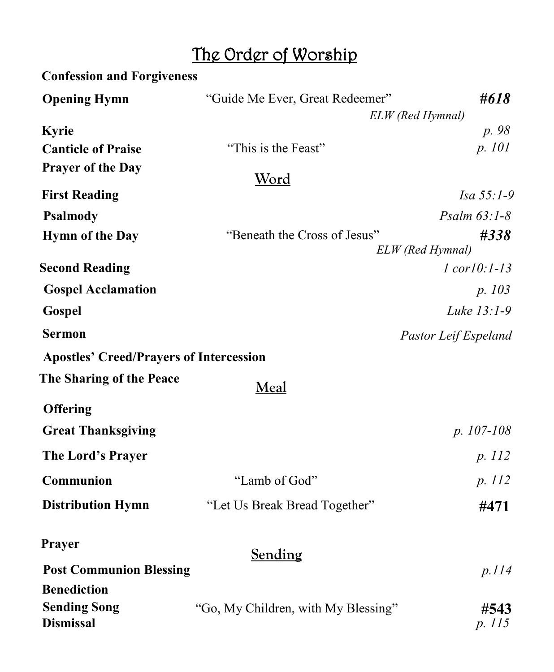# The Order of Worship

| <b>Confession and Forgiveness</b>              |                                     |                           |
|------------------------------------------------|-------------------------------------|---------------------------|
| <b>Opening Hymn</b>                            | "Guide Me Ever, Great Redeemer"     | #618                      |
|                                                | ELW (Red Hymnal)                    |                           |
| Kyrie                                          |                                     | p. 98                     |
| <b>Canticle of Praise</b>                      | "This is the Feast"                 | p. 101                    |
| <b>Prayer of the Day</b>                       | <u>Word</u>                         |                           |
| <b>First Reading</b>                           |                                     | Isa 55:1-9                |
| <b>Psalmody</b>                                |                                     | Psalm $63:1-8$            |
| <b>Hymn of the Day</b>                         | "Beneath the Cross of Jesus"        | #338<br>ELW (Red Hymnal)  |
| <b>Second Reading</b>                          |                                     | $l$ cor $l0$ : $l$ - $l3$ |
| <b>Gospel Acclamation</b>                      |                                     | p. 103                    |
| Gospel                                         |                                     | Luke 13:1-9               |
| <b>Sermon</b>                                  |                                     | Pastor Leif Espeland      |
| <b>Apostles' Creed/Prayers of Intercession</b> |                                     |                           |
| The Sharing of the Peace                       | <b>Meal</b>                         |                           |
| <b>Offering</b>                                |                                     |                           |
| <b>Great Thanksgiving</b>                      |                                     | $p. 107-108$              |
| The Lord's Prayer                              |                                     | p. 112                    |
| Communion                                      | "Lamb of God"                       | p. 112                    |
| <b>Distribution Hymn</b>                       | "Let Us Break Bread Together"       | #471                      |
| Prayer                                         | Sending                             |                           |
| <b>Post Communion Blessing</b>                 |                                     | p.114                     |
| <b>Benediction</b>                             |                                     |                           |
| <b>Sending Song</b><br><b>Dismissal</b>        | "Go, My Children, with My Blessing" | #543<br>p. 115            |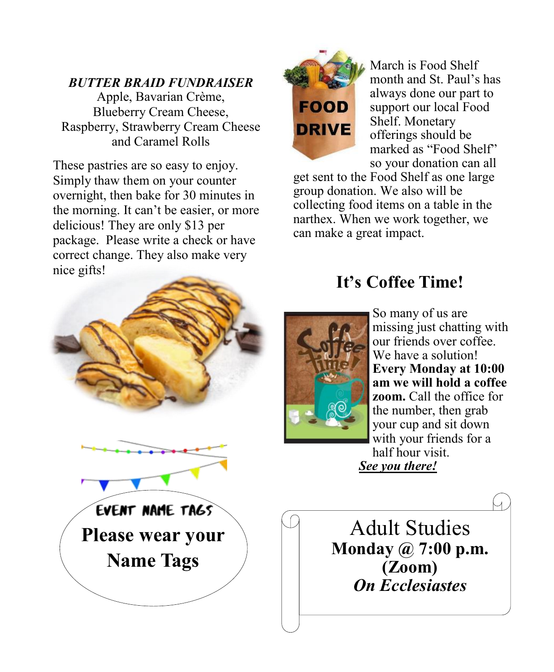#### *BUTTER BRAID FUNDRAISER*

Apple, Bavarian Crème, Blueberry Cream Cheese, Raspberry, Strawberry Cream Cheese and Caramel Rolls

These pastries are so easy to enjoy. Simply thaw them on your counter overnight, then bake for 30 minutes in the morning. It can't be easier, or more delicious! They are only \$13 per package. Please write a check or have correct change. They also make very nice gifts!



March is Food Shelf month and St. Paul's has always done our part to support our local Food Shelf. Monetary offerings should be marked as "Food Shelf" so your donation can all

get sent to the Food Shelf as one large group donation. We also will be collecting food items on a table in the narthex. When we work together, we can make a great impact.



## **It's Coffee Time!**



So many of us are missing just chatting with our friends over coffee. We have a solution! **Every Monday at 10:00 am we will hold a coffee zoom.** Call the office for the number, then grab your cup and sit down with your friends for a half hour visit. *See you there!* 

Adult Studies **Monday @ 7:00 p.m. (Zoom)** *On Ecclesiastes*